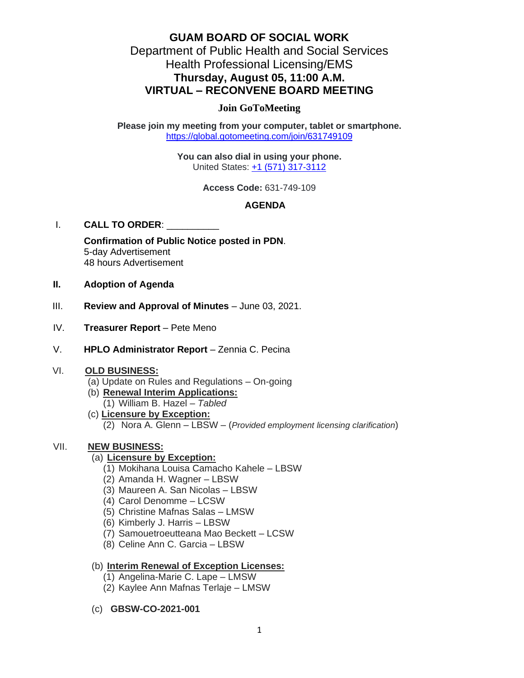# **GUAM BOARD OF SOCIAL WORK** Department of Public Health and Social Services Health Professional Licensing/EMS **Thursday, August 05, 11:00 A.M. VIRTUAL – RECONVENE BOARD MEETING**

### **Join GoToMeeting**

**Please join my meeting from your computer, tablet or smartphone.** <https://global.gotomeeting.com/join/631749109>

> **You can also dial in using your phone.** United States: [+1 \(571\) 317-3112](tel:+15713173112,,631749109)

> > **Access Code:** 631-749-109

## **AGENDA**

#### I. **CALL TO ORDER**: \_\_\_\_\_\_\_\_\_\_

**Confirmation of Public Notice posted in PDN**. 5-day Advertisement 48 hours Advertisement

- **II. Adoption of Agenda**
- III. **Review and Approval of Minutes** June 03, 2021.
- IV. **Treasurer Report** Pete Meno
- V. **HPLO Administrator Report** Zennia C. Pecina

#### VI. **OLD BUSINESS:**

- (a) Update on Rules and Regulations On-going
- (b) **Renewal Interim Applications:** 
	- (1) William B. Hazel *Tabled*
- (c) **Licensure by Exception:**
	- (2) Nora A. Glenn LBSW (*Provided employment licensing clarification*)

#### VII. **NEW BUSINESS:**

#### (a) **Licensure by Exception:**

- (1) Mokihana Louisa Camacho Kahele LBSW
- (2) Amanda H. Wagner LBSW
- (3) Maureen A. San Nicolas LBSW
- (4) Carol Denomme LCSW
- (5) Christine Mafnas Salas LMSW
- (6) Kimberly J. Harris LBSW
- (7) Samouetroeutteana Mao Beckett LCSW
- (8) Celine Ann C. Garcia LBSW

### (b) **Interim Renewal of Exception Licenses:**

- (1) Angelina-Marie C. Lape LMSW
- (2) Kaylee Ann Mafnas Terlaje LMSW
- (c) **GBSW-CO-2021-001**